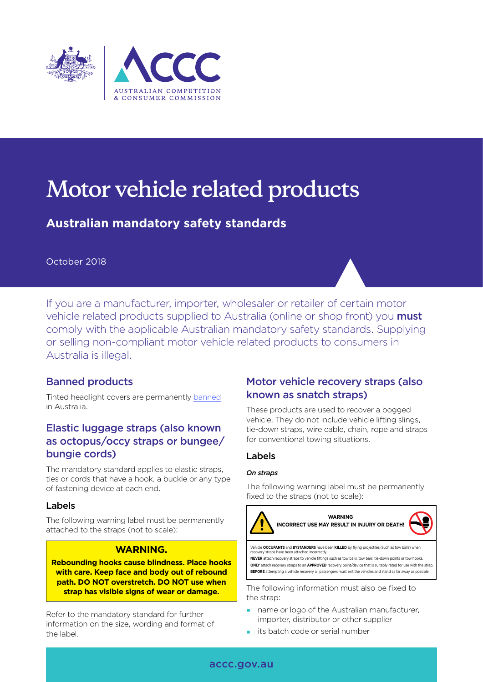

# **Motor vehicle related products**

# **Australian mandatory safety standards**

## October 2018

If you are a manufacturer, importer, wholesaler or retailer of certain motor vehicle related products supplied to Australia (online or shop front) you **must** comply with the applicable Australian mandatory safety standards. Supplying or selling non-compliant motor vehicle related products to consumers in Australia is illegal.

# Banned products

Tinted headlight covers are permanently [banned](https://www.productsafety.gov.au/product-safety-laws/safety-standards-bans/product-bans) in Australia.

# Elastic luggage straps (also known as octopus/occy straps or bungee/ bungie cords)

The mandatory standard applies to elastic straps, ties or cords that have a hook, a buckle or any type of fastening device at each end.

## Labels

The following warning label must be permanently attached to the straps (not to scale):

#### **WARNING.**

**Rebounding hooks cause blindness. Place hooks with care. Keep face and body out of rebound path. DO NOT overstretch. DO NOT use when strap has visible signs of wear or damage.**

Refer to the mandatory standard for further information on the size, wording and format of the label.

# Motor vehicle recovery straps (also known as snatch straps)

These products are used to recover a bogged vehicle. They do not include vehicle lifting slings, tie-down straps, wire cable, chain, rope and straps for conventional towing situations.

## Labels

#### *On straps*

The following warning label must be permanently fixed to the straps (not to scale):



the strap:

- name or logo of the Australian manufacturer, importer, distributor or other supplier
- $\blacksquare$  its batch code or serial number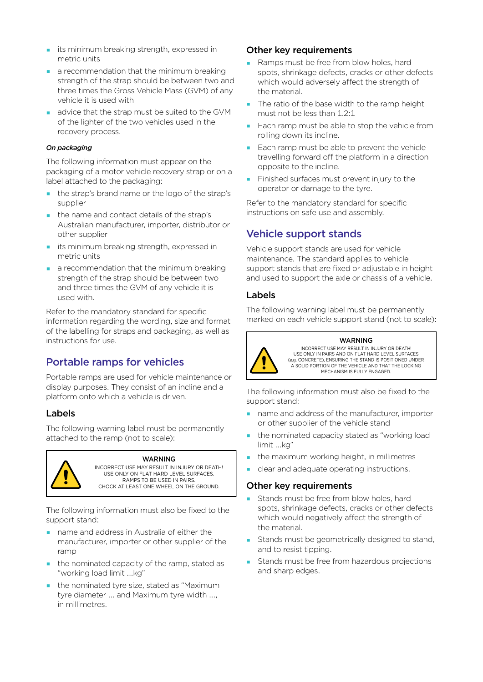- **i**ts minimum breaking strength, expressed in metric units
- a recommendation that the minimum breaking strength of the strap should be between two and three times the Gross Vehicle Mass (GVM) of any vehicle it is used with
- advice that the strap must be suited to the GVM of the lighter of the two vehicles used in the recovery process.

#### *On packaging*

The following information must appear on the packaging of a motor vehicle recovery strap or on a label attached to the packaging:

- the strap's brand name or the logo of the strap's supplier
- the name and contact details of the strap's Australian manufacturer, importer, distributor or other supplier
- **i** its minimum breaking strength, expressed in metric units
- a recommendation that the minimum breaking strength of the strap should be between two and three times the GVM of any vehicle it is used with.

Refer to the mandatory standard for specific information regarding the wording, size and format of the labelling for straps and packaging, as well as instructions for use.

# Portable ramps for vehicles

Portable ramps are used for vehicle maintenance or display purposes. They consist of an incline and a platform onto which a vehicle is driven.

## Labels

The following warning label must be permanently attached to the ramp (not to scale):



#### WARNING

INCORRECT USE MAY RESULT IN INJURY OR DEATH! USE ONLY ON FLAT HARD LEVEL SURFACES. RAMPS TO BE USED IN PAIRS. CHOCK AT LEAST ONE WHEEL ON THE GROUND.

The following information must also be fixed to the support stand:

- name and address in Australia of either the manufacturer, importer or other supplier of the ramp
- the nominated capacity of the ramp, stated as "working load limit ...kg"
- **the nominated tyre size, stated as "Maximum"** tyre diameter ... and Maximum tyre width ..., in millimetres.

#### Other key requirements

- Ramps must be free from blow holes, hard spots, shrinkage defects, cracks or other defects which would adversely affect the strength of the material.
- The ratio of the base width to the ramp height must not be less than 1.2:1
- Each ramp must be able to stop the vehicle from rolling down its incline.
- Each ramp must be able to prevent the vehicle travelling forward off the platform in a direction opposite to the incline.
- **Finished surfaces must prevent injury to the** operator or damage to the tyre.

Refer to the mandatory standard for specific instructions on safe use and assembly.

# Vehicle support stands

Vehicle support stands are used for vehicle maintenance. The standard applies to vehicle support stands that are fixed or adjustable in height and used to support the axle or chassis of a vehicle.

## Labels

The following warning label must be permanently marked on each vehicle support stand (not to scale):



#### WARNING

INCORRECT USE MAY RESULT IN INJURY OR DEATH! USE ONLY IN PAIRS AND ON FLAT HARD LEVEL SURFACES (e.g. CONCRETE), ENSURING THE STAND IS POSITIONED UNDER A SOLID PORTION OF THE VEHICLE AND THAT THE LOCKING MECHANISM IS FULLY ENGAGED.

The following information must also be fixed to the support stand:

- name and address of the manufacturer, importer or other supplier of the vehicle stand
- the nominated capacity stated as "working load limit ...kg"
- the maximum working height, in millimetres
- clear and adequate operating instructions.

## Other key requirements

- Stands must be free from blow holes, hard spots, shrinkage defects, cracks or other defects which would negatively affect the strength of the material.
- **Stands must be geometrically designed to stand,** and to resist tipping.
- Stands must be free from hazardous projections and sharp edges.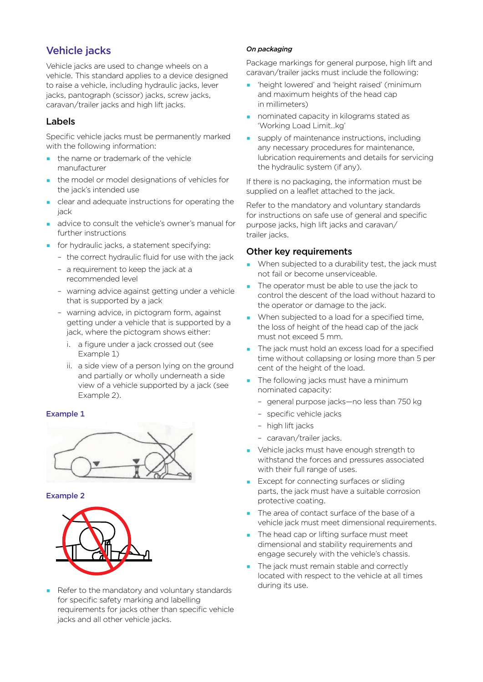# Vehicle jacks

Vehicle jacks are used to change wheels on a vehicle. This standard applies to a device designed to raise a vehicle, including hydraulic jacks, lever jacks, pantograph (scissor) jacks, screw jacks, caravan/trailer jacks and high lift jacks.

## Labels

Specific vehicle jacks must be permanently marked with the following information:

- the name or trademark of the vehicle manufacturer
- the model or model designations of vehicles for the jack's intended use
- clear and adequate instructions for operating the jack
- **a** advice to consult the vehicle's owner's manual for further instructions
- **for hydraulic jacks, a statement specifying:** 
	- the correct hydraulic fluid for use with the jack
	- a requirement to keep the jack at a recommended level
	- warning advice against getting under a vehicle that is supported by a jack
	- warning advice, in pictogram form, against getting under a vehicle that is supported by a jack, where the pictogram shows either:
		- i. a figure under a jack crossed out (see Example 1)
		- ii. a side view of a person lying on the ground and partially or wholly underneath a side view of a vehicle supported by a jack (see Example 2).

#### Example 1



#### Example 2



 Refer to the mandatory and voluntary standards for specific safety marking and labelling requirements for jacks other than specific vehicle jacks and all other vehicle jacks.

#### *On packaging*

Package markings for general purpose, high lift and caravan/trailer jacks must include the following:

- 'height lowered' and 'height raised' (minimum and maximum heights of the head cap in millimeters)
- **nominated capacity in kilograms stated as** 'Working Load Limit…kg'
- supply of maintenance instructions, including any necessary procedures for maintenance, lubrication requirements and details for servicing the hydraulic system (if any).

If there is no packaging, the information must be supplied on a leaflet attached to the jack.

Refer to the mandatory and voluntary standards for instructions on safe use of general and specific purpose jacks, high lift jacks and caravan/ trailer jacks.

## Other key requirements

- When subjected to a durability test, the jack must not fail or become unserviceable.
- The operator must be able to use the jack to control the descent of the load without hazard to the operator or damage to the jack.
- When subjected to a load for a specified time, the loss of height of the head cap of the jack must not exceed 5 mm.
- The jack must hold an excess load for a specified time without collapsing or losing more than 5 per cent of the height of the load.
- **The following jacks must have a minimum** nominated capacity:
	- general purpose jacks—no less than 750 kg
	- specific vehicle jacks
	- high lift jacks
	- caravan/trailer jacks.
- Vehicle jacks must have enough strength to withstand the forces and pressures associated with their full range of uses.
- **Except for connecting surfaces or sliding** parts, the jack must have a suitable corrosion protective coating.
- The area of contact surface of the base of a vehicle jack must meet dimensional requirements.
- The head cap or lifting surface must meet dimensional and stability requirements and engage securely with the vehicle's chassis.
- The jack must remain stable and correctly located with respect to the vehicle at all times during its use.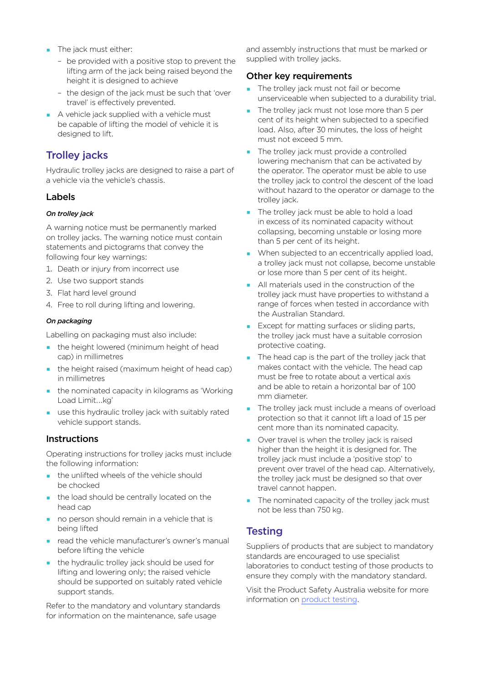- **The jack must either:** 
	- be provided with a positive stop to prevent the lifting arm of the jack being raised beyond the height it is designed to achieve
	- the design of the jack must be such that 'over travel' is effectively prevented.
- A vehicle jack supplied with a vehicle must be capable of lifting the model of vehicle it is designed to lift.

# Trolley jacks

Hydraulic trolley jacks are designed to raise a part of a vehicle via the vehicle's chassis.

## Labels

#### *On trolley jack*

A warning notice must be permanently marked on trolley jacks. The warning notice must contain statements and pictograms that convey the following four key warnings:

- 1. Death or injury from incorrect use
- 2. Use two support stands
- 3. Flat hard level ground
- 4. Free to roll during lifting and lowering.

#### *On packaging*

Labelling on packaging must also include:

- **the height lowered (minimum height of head** cap) in millimetres
- the height raised (maximum height of head cap) in millimetres
- **the nominated capacity in kilograms as 'Working'** Load Limit….kg'
- use this hydraulic trolley jack with suitably rated vehicle support stands.

## **Instructions**

Operating instructions for trolley jacks must include the following information:

- the unlifted wheels of the vehicle should be chocked
- the load should be centrally located on the head can
- no person should remain in a vehicle that is being lifted
- **P** read the vehicle manufacturer's owner's manual before lifting the vehicle
- the hydraulic trolley jack should be used for lifting and lowering only; the raised vehicle should be supported on suitably rated vehicle support stands.

Refer to the mandatory and voluntary standards for information on the maintenance, safe usage

and assembly instructions that must be marked or supplied with trolley jacks.

## Other key requirements

- The trolley jack must not fail or become unserviceable when subjected to a durability trial.
- The trolley jack must not lose more than 5 per cent of its height when subjected to a specified load. Also, after 30 minutes, the loss of height must not exceed 5 mm.
- The trolley jack must provide a controlled lowering mechanism that can be activated by the operator. The operator must be able to use the trolley jack to control the descent of the load without hazard to the operator or damage to the trolley jack.
- The trolley jack must be able to hold a load in excess of its nominated capacity without collapsing, becoming unstable or losing more than 5 per cent of its height.
- When subjected to an eccentrically applied load, a trolley jack must not collapse, become unstable or lose more than 5 per cent of its height.
- All materials used in the construction of the trolley jack must have properties to withstand a range of forces when tested in accordance with the Australian Standard.
- **Except for matting surfaces or sliding parts,** the trolley jack must have a suitable corrosion protective coating.
- The head cap is the part of the trolley jack that makes contact with the vehicle. The head cap must be free to rotate about a vertical axis and be able to retain a horizontal bar of 100 mm diameter.
- The trolley jack must include a means of overload protection so that it cannot lift a load of 15 per cent more than its nominated capacity.
- Over travel is when the trolley jack is raised higher than the height it is designed for. The trolley jack must include a 'positive stop' to prevent over travel of the head cap. Alternatively, the trolley jack must be designed so that over travel cannot happen.
- The nominated capacity of the trolley jack must not be less than 750 kg.

# **Testing**

Suppliers of products that are subject to mandatory standards are encouraged to use specialist laboratories to conduct testing of those products to ensure they comply with the mandatory standard.

Visit the Product Safety Australia website for more information on [product testing](https://www.productsafety.gov.au/product-safety-laws/compliance-surveillance/product-testing).